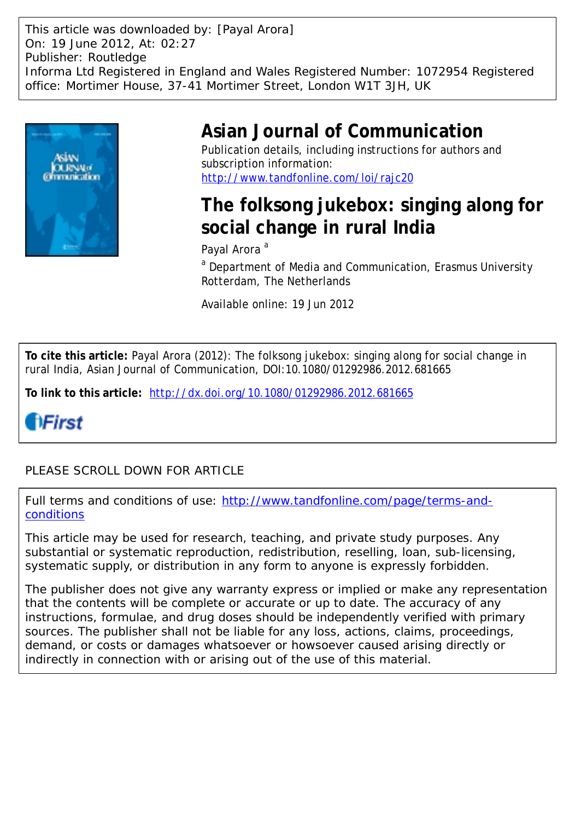This article was downloaded by: [Payal Arora] On: 19 June 2012, At: 02:27 Publisher: Routledge Informa Ltd Registered in England and Wales Registered Number: 1072954 Registered office: Mortimer House, 37-41 Mortimer Street, London W1T 3JH, UK



## **Asian Journal of Communication**

Publication details, including instructions for authors and subscription information: <http://www.tandfonline.com/loi/rajc20>

# **The folksong jukebox: singing along for social change in rural India**

Payal Arora<sup>a</sup>

<sup>a</sup> Department of Media and Communication, Erasmus University Rotterdam, The Netherlands

Available online: 19 Jun 2012

**To cite this article:** Payal Arora (2012): The folksong jukebox: singing along for social change in rural India, Asian Journal of Communication, DOI:10.1080/01292986.2012.681665

**To link to this article:** <http://dx.doi.org/10.1080/01292986.2012.681665>



## PLEASE SCROLL DOWN FOR ARTICLE

Full terms and conditions of use: [http://www.tandfonline.com/page/terms-and](http://www.tandfonline.com/page/terms-and-conditions)[conditions](http://www.tandfonline.com/page/terms-and-conditions)

This article may be used for research, teaching, and private study purposes. Any substantial or systematic reproduction, redistribution, reselling, loan, sub-licensing, systematic supply, or distribution in any form to anyone is expressly forbidden.

The publisher does not give any warranty express or implied or make any representation that the contents will be complete or accurate or up to date. The accuracy of any instructions, formulae, and drug doses should be independently verified with primary sources. The publisher shall not be liable for any loss, actions, claims, proceedings, demand, or costs or damages whatsoever or howsoever caused arising directly or indirectly in connection with or arising out of the use of this material.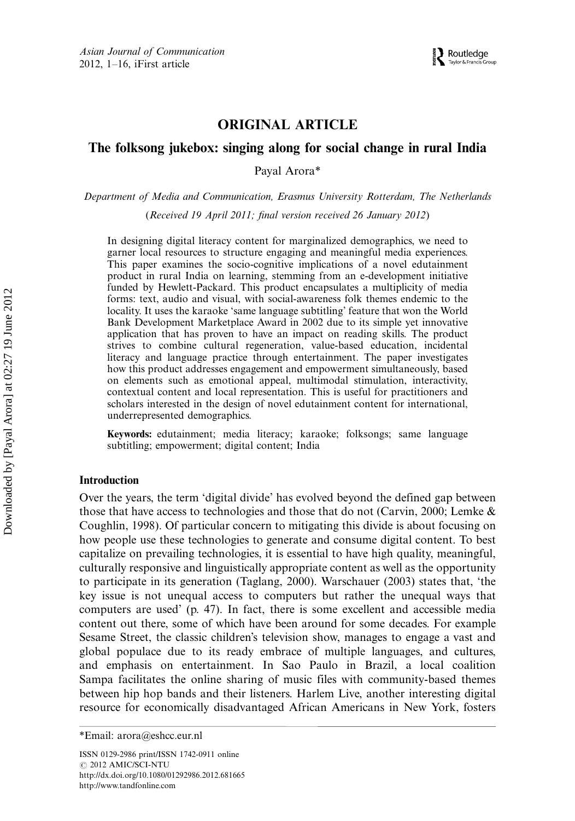## ORIGINAL ARTICLE

# The folksong jukebox: singing along for social change in rural India

Payal Arora\*

Department of Media and Communication, Erasmus University Rotterdam, The Netherlands

(Received 19 April 2011; final version received 26 January 2012)

In designing digital literacy content for marginalized demographics, we need to garner local resources to structure engaging and meaningful media experiences. This paper examines the socio-cognitive implications of a novel edutainment product in rural India on learning, stemming from an e-development initiative funded by Hewlett-Packard. This product encapsulates a multiplicity of media forms: text, audio and visual, with social-awareness folk themes endemic to the locality. It uses the karaoke 'same language subtitling' feature that won the World Bank Development Marketplace Award in 2002 due to its simple yet innovative application that has proven to have an impact on reading skills. The product strives to combine cultural regeneration, value-based education, incidental literacy and language practice through entertainment. The paper investigates how this product addresses engagement and empowerment simultaneously, based on elements such as emotional appeal, multimodal stimulation, interactivity, contextual content and local representation. This is useful for practitioners and scholars interested in the design of novel edutainment content for international, underrepresented demographics.

Keywords: edutainment; media literacy; karaoke; folksongs; same language subtitling; empowerment; digital content; India

### Introduction

Over the years, the term 'digital divide' has evolved beyond the defined gap between those that have access to technologies and those that do not (Carvin, 2000; Lemke & Coughlin, 1998). Of particular concern to mitigating this divide is about focusing on how people use these technologies to generate and consume digital content. To best capitalize on prevailing technologies, it is essential to have high quality, meaningful, culturally responsive and linguistically appropriate content as well as the opportunity to participate in its generation (Taglang, 2000). Warschauer (2003) states that, 'the key issue is not unequal access to computers but rather the unequal ways that computers are used' (p. 47). In fact, there is some excellent and accessible media content out there, some of which have been around for some decades. For example Sesame Street, the classic children's television show, manages to engage a vast and global populace due to its ready embrace of multiple languages, and cultures, and emphasis on entertainment. In Sao Paulo in Brazil, a local coalition Sampa facilitates the online sharing of music files with community-based themes between hip hop bands and their listeners. Harlem Live, another interesting digital resource for economically disadvantaged African Americans in New York, fosters

<sup>\*</sup>Email: arora@eshcc.eur.nl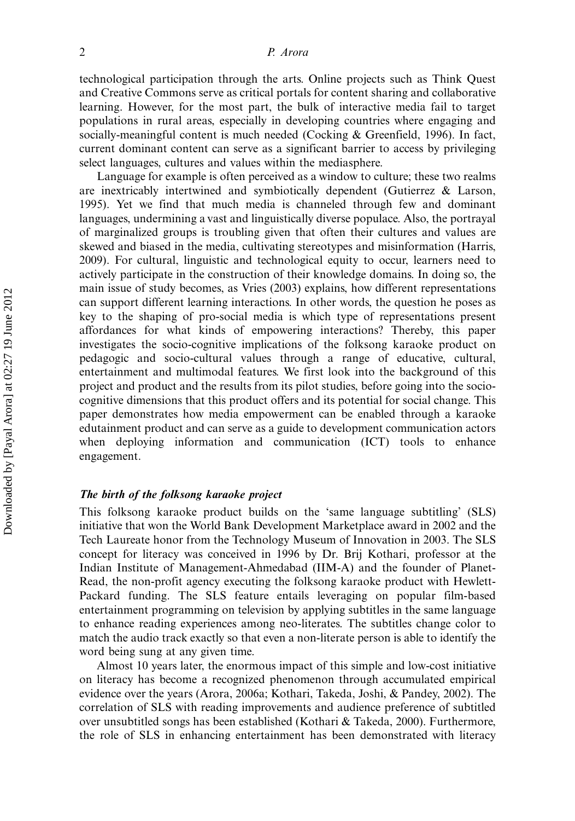## 2 P. Arora

technological participation through the arts. Online projects such as Think Quest and Creative Commons serve as critical portals for content sharing and collaborative learning. However, for the most part, the bulk of interactive media fail to target populations in rural areas, especially in developing countries where engaging and socially-meaningful content is much needed (Cocking & Greenfield, 1996). In fact, current dominant content can serve as a significant barrier to access by privileging select languages, cultures and values within the mediasphere.

Language for example is often perceived as a window to culture; these two realms are inextricably intertwined and symbiotically dependent (Gutierrez & Larson, 1995). Yet we find that much media is channeled through few and dominant languages, undermining a vast and linguistically diverse populace. Also, the portrayal of marginalized groups is troubling given that often their cultures and values are skewed and biased in the media, cultivating stereotypes and misinformation (Harris, 2009). For cultural, linguistic and technological equity to occur, learners need to actively participate in the construction of their knowledge domains. In doing so, the main issue of study becomes, as Vries (2003) explains, how different representations can support different learning interactions. In other words, the question he poses as key to the shaping of pro-social media is which type of representations present affordances for what kinds of empowering interactions? Thereby, this paper investigates the socio-cognitive implications of the folksong karaoke product on pedagogic and socio-cultural values through a range of educative, cultural, entertainment and multimodal features. We first look into the background of this project and product and the results from its pilot studies, before going into the sociocognitive dimensions that this product offers and its potential for social change. This paper demonstrates how media empowerment can be enabled through a karaoke edutainment product and can serve as a guide to development communication actors when deploying information and communication (ICT) tools to enhance engagement.

## The birth of the folksong karaoke project

This folksong karaoke product builds on the 'same language subtitling' (SLS) initiative that won the World Bank Development Marketplace award in 2002 and the Tech Laureate honor from the Technology Museum of Innovation in 2003. The SLS concept for literacy was conceived in 1996 by Dr. Brij Kothari, professor at the Indian Institute of Management-Ahmedabad (IIM-A) and the founder of Planet-Read, the non-profit agency executing the folksong karaoke product with Hewlett-Packard funding. The SLS feature entails leveraging on popular film-based entertainment programming on television by applying subtitles in the same language to enhance reading experiences among neo-literates. The subtitles change color to match the audio track exactly so that even a non-literate person is able to identify the word being sung at any given time.

Almost 10 years later, the enormous impact of this simple and low-cost initiative on literacy has become a recognized phenomenon through accumulated empirical evidence over the years (Arora, 2006a; Kothari, Takeda, Joshi, & Pandey, 2002). The correlation of SLS with reading improvements and audience preference of subtitled over unsubtitled songs has been established (Kothari & Takeda, 2000). Furthermore, the role of SLS in enhancing entertainment has been demonstrated with literacy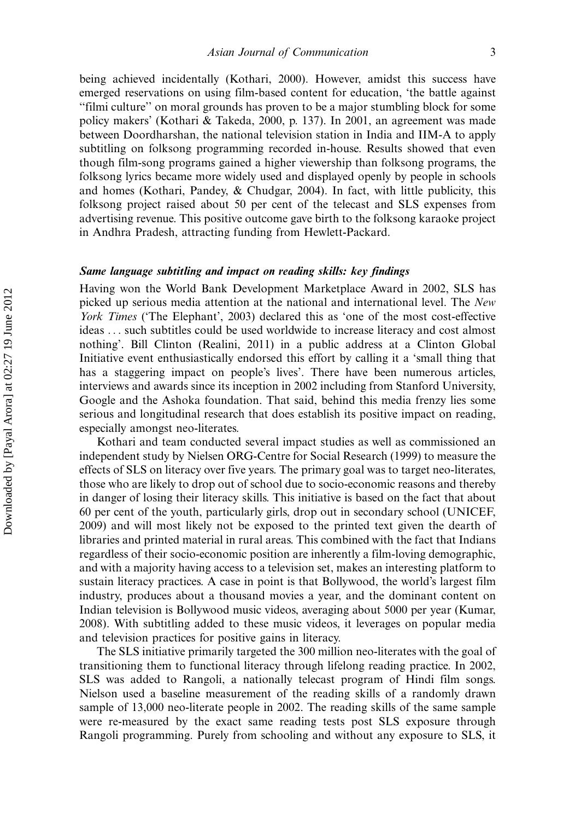being achieved incidentally (Kothari, 2000). However, amidst this success have emerged reservations on using film-based content for education, 'the battle against ''filmi culture'' on moral grounds has proven to be a major stumbling block for some policy makers' (Kothari & Takeda, 2000, p. 137). In 2001, an agreement was made between Doordharshan, the national television station in India and IIM-A to apply subtitling on folksong programming recorded in-house. Results showed that even though film-song programs gained a higher viewership than folksong programs, the folksong lyrics became more widely used and displayed openly by people in schools and homes (Kothari, Pandey, & Chudgar, 2004). In fact, with little publicity, this folksong project raised about 50 per cent of the telecast and SLS expenses from advertising revenue. This positive outcome gave birth to the folksong karaoke project in Andhra Pradesh, attracting funding from Hewlett-Packard.

## Same language subtitling and impact on reading skills: key findings

Having won the World Bank Development Marketplace Award in 2002, SLS has picked up serious media attention at the national and international level. The New York Times ('The Elephant', 2003) declared this as 'one of the most cost-effective ideas ... such subtitles could be used worldwide to increase literacy and cost almost nothing'. Bill Clinton (Realini, 2011) in a public address at a Clinton Global Initiative event enthusiastically endorsed this effort by calling it a 'small thing that has a staggering impact on people's lives'. There have been numerous articles, interviews and awards since its inception in 2002 including from Stanford University, Google and the Ashoka foundation. That said, behind this media frenzy lies some serious and longitudinal research that does establish its positive impact on reading, especially amongst neo-literates.

Kothari and team conducted several impact studies as well as commissioned an independent study by Nielsen ORG-Centre for Social Research (1999) to measure the effects of SLS on literacy over five years. The primary goal was to target neo-literates, those who are likely to drop out of school due to socio-economic reasons and thereby in danger of losing their literacy skills. This initiative is based on the fact that about 60 per cent of the youth, particularly girls, drop out in secondary school (UNICEF, 2009) and will most likely not be exposed to the printed text given the dearth of libraries and printed material in rural areas. This combined with the fact that Indians regardless of their socio-economic position are inherently a film-loving demographic, and with a majority having access to a television set, makes an interesting platform to sustain literacy practices. A case in point is that Bollywood, the world's largest film industry, produces about a thousand movies a year, and the dominant content on Indian television is Bollywood music videos, averaging about 5000 per year (Kumar, 2008). With subtitling added to these music videos, it leverages on popular media and television practices for positive gains in literacy.

The SLS initiative primarily targeted the 300 million neo-literates with the goal of transitioning them to functional literacy through lifelong reading practice. In 2002, SLS was added to Rangoli, a nationally telecast program of Hindi film songs. Nielson used a baseline measurement of the reading skills of a randomly drawn sample of 13,000 neo-literate people in 2002. The reading skills of the same sample were re-measured by the exact same reading tests post SLS exposure through Rangoli programming. Purely from schooling and without any exposure to SLS, it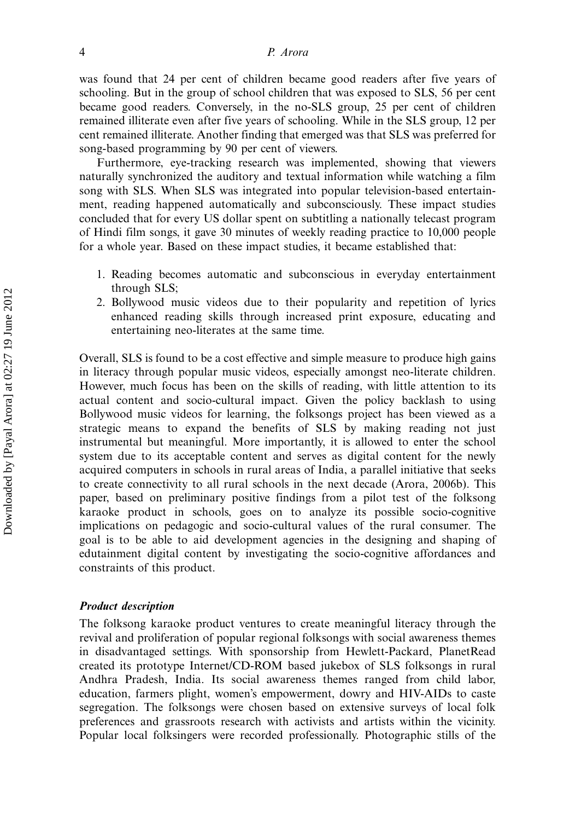was found that 24 per cent of children became good readers after five years of schooling. But in the group of school children that was exposed to SLS, 56 per cent became good readers. Conversely, in the no-SLS group, 25 per cent of children remained illiterate even after five years of schooling. While in the SLS group, 12 per cent remained illiterate. Another finding that emerged was that SLS was preferred for song-based programming by 90 per cent of viewers.

Furthermore, eye-tracking research was implemented, showing that viewers naturally synchronized the auditory and textual information while watching a film song with SLS. When SLS was integrated into popular television-based entertainment, reading happened automatically and subconsciously. These impact studies concluded that for every US dollar spent on subtitling a nationally telecast program of Hindi film songs, it gave 30 minutes of weekly reading practice to 10,000 people for a whole year. Based on these impact studies, it became established that:

- 1. Reading becomes automatic and subconscious in everyday entertainment through SLS;
- 2. Bollywood music videos due to their popularity and repetition of lyrics enhanced reading skills through increased print exposure, educating and entertaining neo-literates at the same time.

Overall, SLS is found to be a cost effective and simple measure to produce high gains in literacy through popular music videos, especially amongst neo-literate children. However, much focus has been on the skills of reading, with little attention to its actual content and socio-cultural impact. Given the policy backlash to using Bollywood music videos for learning, the folksongs project has been viewed as a strategic means to expand the benefits of SLS by making reading not just instrumental but meaningful. More importantly, it is allowed to enter the school system due to its acceptable content and serves as digital content for the newly acquired computers in schools in rural areas of India, a parallel initiative that seeks to create connectivity to all rural schools in the next decade (Arora, 2006b). This paper, based on preliminary positive findings from a pilot test of the folksong karaoke product in schools, goes on to analyze its possible socio-cognitive implications on pedagogic and socio-cultural values of the rural consumer. The goal is to be able to aid development agencies in the designing and shaping of edutainment digital content by investigating the socio-cognitive affordances and constraints of this product.

## Product description

The folksong karaoke product ventures to create meaningful literacy through the revival and proliferation of popular regional folksongs with social awareness themes in disadvantaged settings. With sponsorship from Hewlett-Packard, PlanetRead created its prototype Internet/CD-ROM based jukebox of SLS folksongs in rural Andhra Pradesh, India. Its social awareness themes ranged from child labor, education, farmers plight, women's empowerment, dowry and HIV-AIDs to caste segregation. The folksongs were chosen based on extensive surveys of local folk preferences and grassroots research with activists and artists within the vicinity. Popular local folksingers were recorded professionally. Photographic stills of the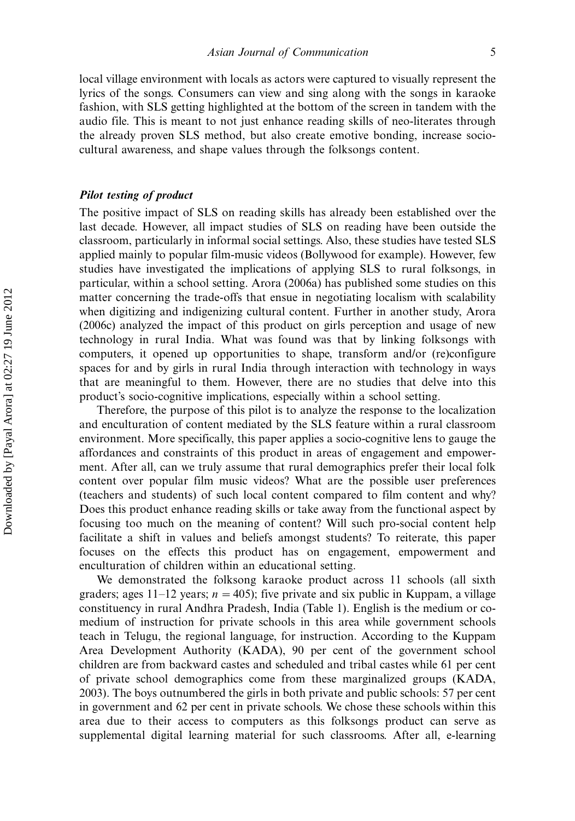local village environment with locals as actors were captured to visually represent the lyrics of the songs. Consumers can view and sing along with the songs in karaoke fashion, with SLS getting highlighted at the bottom of the screen in tandem with the audio file. This is meant to not just enhance reading skills of neo-literates through the already proven SLS method, but also create emotive bonding, increase sociocultural awareness, and shape values through the folksongs content.

## Pilot testing of product

The positive impact of SLS on reading skills has already been established over the last decade. However, all impact studies of SLS on reading have been outside the classroom, particularly in informal social settings. Also, these studies have tested SLS applied mainly to popular film-music videos (Bollywood for example). However, few studies have investigated the implications of applying SLS to rural folksongs, in particular, within a school setting. Arora (2006a) has published some studies on this matter concerning the trade-offs that ensue in negotiating localism with scalability when digitizing and indigenizing cultural content. Further in another study, Arora (2006c) analyzed the impact of this product on girls perception and usage of new technology in rural India. What was found was that by linking folksongs with computers, it opened up opportunities to shape, transform and/or (re)configure spaces for and by girls in rural India through interaction with technology in ways that are meaningful to them. However, there are no studies that delve into this product's socio-cognitive implications, especially within a school setting.

Therefore, the purpose of this pilot is to analyze the response to the localization and enculturation of content mediated by the SLS feature within a rural classroom environment. More specifically, this paper applies a socio-cognitive lens to gauge the affordances and constraints of this product in areas of engagement and empowerment. After all, can we truly assume that rural demographics prefer their local folk content over popular film music videos? What are the possible user preferences (teachers and students) of such local content compared to film content and why? Does this product enhance reading skills or take away from the functional aspect by focusing too much on the meaning of content? Will such pro-social content help facilitate a shift in values and beliefs amongst students? To reiterate, this paper focuses on the effects this product has on engagement, empowerment and enculturation of children within an educational setting.

We demonstrated the folksong karaoke product across 11 schools (all sixth graders; ages  $11-12$  years;  $n = 405$ ); five private and six public in Kuppam, a village constituency in rural Andhra Pradesh, India (Table 1). English is the medium or comedium of instruction for private schools in this area while government schools teach in Telugu, the regional language, for instruction. According to the Kuppam Area Development Authority (KADA), 90 per cent of the government school children are from backward castes and scheduled and tribal castes while 61 per cent of private school demographics come from these marginalized groups (KADA, 2003). The boys outnumbered the girls in both private and public schools: 57 per cent in government and 62 per cent in private schools. We chose these schools within this area due to their access to computers as this folksongs product can serve as supplemental digital learning material for such classrooms. After all, e-learning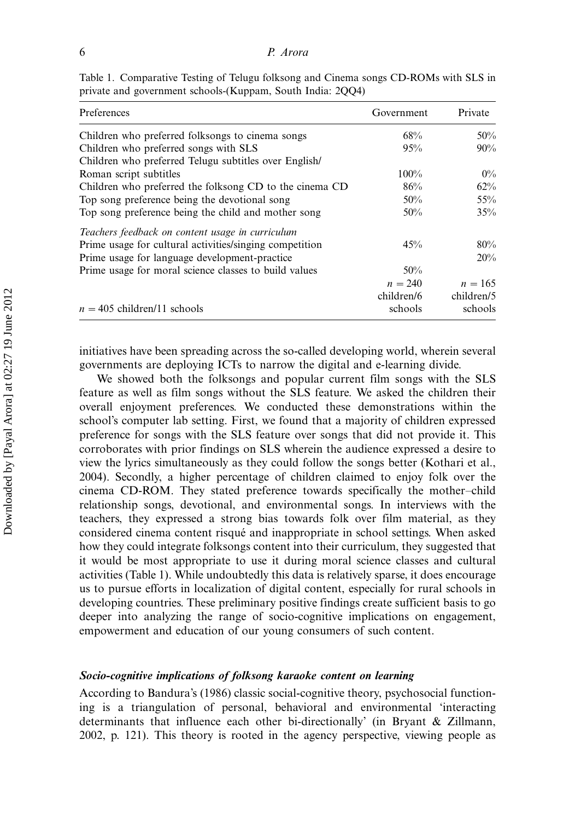| Preferences                                             | Government | Private    |
|---------------------------------------------------------|------------|------------|
| Children who preferred folksongs to cinema songs        | 68%        | 50%        |
| Children who preferred songs with SLS                   | 95%        | 90%        |
| Children who preferred Telugu subtitles over English/   |            |            |
| Roman script subtitles                                  | $100\%$    | $0\%$      |
| Children who preferred the folksong CD to the cinema CD | 86%        | 62%        |
| Top song preference being the devotional song           | 50%        | 55%        |
| Top song preference being the child and mother song     | 50%        | 35%        |
| Teachers feedback on content usage in curriculum        |            |            |
| Prime usage for cultural activities/singing competition | 45%        | 80%        |
| Prime usage for language development-practice           |            | 20%        |
| Prime usage for moral science classes to build values   | 50%        |            |
|                                                         | $n = 240$  | $n = 165$  |
|                                                         | children/6 | children/5 |
| $n = 405$ children/11 schools                           | schools    | schools    |

Table 1. Comparative Testing of Telugu folksong and Cinema songs CD-ROMs with SLS in private and government schools-(Kuppam, South India: 2QQ4)

initiatives have been spreading across the so-called developing world, wherein several governments are deploying ICTs to narrow the digital and e-learning divide.

We showed both the folksongs and popular current film songs with the SLS feature as well as film songs without the SLS feature. We asked the children their overall enjoyment preferences. We conducted these demonstrations within the school's computer lab setting. First, we found that a majority of children expressed preference for songs with the SLS feature over songs that did not provide it. This corroborates with prior findings on SLS wherein the audience expressed a desire to view the lyrics simultaneously as they could follow the songs better (Kothari et al., 2004). Secondly, a higher percentage of children claimed to enjoy folk over the cinema CD-ROM. They stated preference towards specifically the mother-child relationship songs, devotional, and environmental songs. In interviews with the teachers, they expressed a strong bias towards folk over film material, as they considered cinema content risque´ and inappropriate in school settings. When asked how they could integrate folksongs content into their curriculum, they suggested that it would be most appropriate to use it during moral science classes and cultural activities (Table 1). While undoubtedly this data is relatively sparse, it does encourage us to pursue efforts in localization of digital content, especially for rural schools in developing countries. These preliminary positive findings create sufficient basis to go deeper into analyzing the range of socio-cognitive implications on engagement, empowerment and education of our young consumers of such content.

## Socio-cognitive implications of folksong karaoke content on learning

According to Bandura's (1986) classic social-cognitive theory, psychosocial functioning is a triangulation of personal, behavioral and environmental 'interacting determinants that influence each other bi-directionally' (in Bryant & Zillmann, 2002, p. 121). This theory is rooted in the agency perspective, viewing people as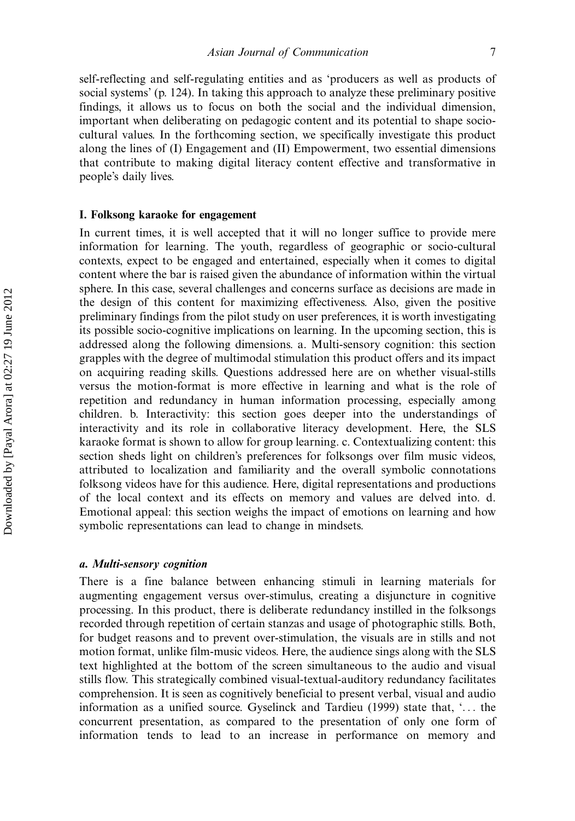self-reflecting and self-regulating entities and as 'producers as well as products of social systems' (p. 124). In taking this approach to analyze these preliminary positive findings, it allows us to focus on both the social and the individual dimension, important when deliberating on pedagogic content and its potential to shape sociocultural values. In the forthcoming section, we specifically investigate this product along the lines of (I) Engagement and (II) Empowerment, two essential dimensions that contribute to making digital literacy content effective and transformative in people's daily lives.

## I. Folksong karaoke for engagement

In current times, it is well accepted that it will no longer suffice to provide mere information for learning. The youth, regardless of geographic or socio-cultural contexts, expect to be engaged and entertained, especially when it comes to digital content where the bar is raised given the abundance of information within the virtual sphere. In this case, several challenges and concerns surface as decisions are made in the design of this content for maximizing effectiveness. Also, given the positive preliminary findings from the pilot study on user preferences, it is worth investigating its possible socio-cognitive implications on learning. In the upcoming section, this is addressed along the following dimensions. a. Multi-sensory cognition: this section grapples with the degree of multimodal stimulation this product offers and its impact on acquiring reading skills. Questions addressed here are on whether visual-stills versus the motion-format is more effective in learning and what is the role of repetition and redundancy in human information processing, especially among children. b. Interactivity: this section goes deeper into the understandings of interactivity and its role in collaborative literacy development. Here, the SLS karaoke format is shown to allow for group learning. c. Contextualizing content: this section sheds light on children's preferences for folksongs over film music videos, attributed to localization and familiarity and the overall symbolic connotations folksong videos have for this audience. Here, digital representations and productions of the local context and its effects on memory and values are delved into. d. Emotional appeal: this section weighs the impact of emotions on learning and how symbolic representations can lead to change in mindsets.

## a. Multi-sensory cognition

There is a fine balance between enhancing stimuli in learning materials for augmenting engagement versus over-stimulus, creating a disjuncture in cognitive processing. In this product, there is deliberate redundancy instilled in the folksongs recorded through repetition of certain stanzas and usage of photographic stills. Both, for budget reasons and to prevent over-stimulation, the visuals are in stills and not motion format, unlike film-music videos. Here, the audience sings along with the SLS text highlighted at the bottom of the screen simultaneous to the audio and visual stills flow. This strategically combined visual-textual-auditory redundancy facilitates comprehension. It is seen as cognitively beneficial to present verbal, visual and audio information as a unified source. Gyselinck and Tardieu (1999) state that, '... the concurrent presentation, as compared to the presentation of only one form of information tends to lead to an increase in performance on memory and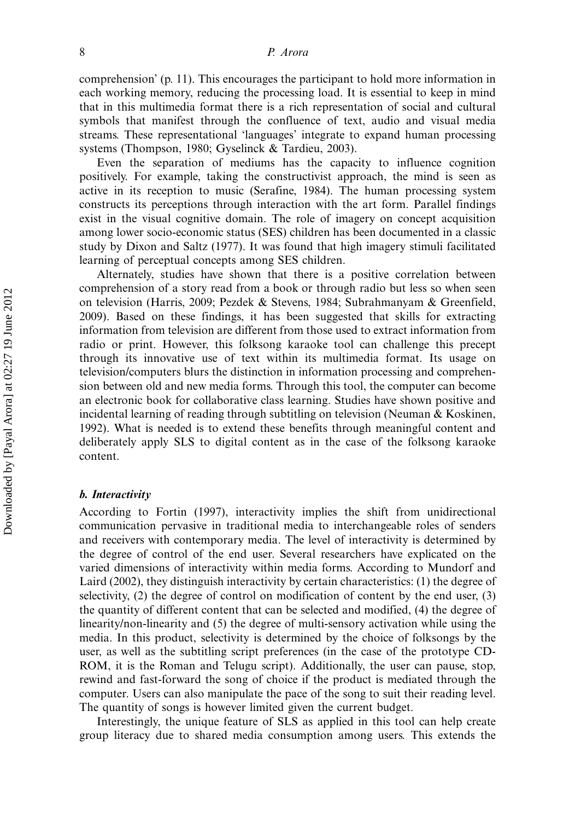comprehension' (p. 11). This encourages the participant to hold more information in each working memory, reducing the processing load. It is essential to keep in mind that in this multimedia format there is a rich representation of social and cultural symbols that manifest through the confluence of text, audio and visual media streams. These representational 'languages' integrate to expand human processing systems (Thompson, 1980; Gyselinck & Tardieu, 2003).

Even the separation of mediums has the capacity to influence cognition positively. For example, taking the constructivist approach, the mind is seen as active in its reception to music (Serafine, 1984). The human processing system constructs its perceptions through interaction with the art form. Parallel findings exist in the visual cognitive domain. The role of imagery on concept acquisition among lower socio-economic status (SES) children has been documented in a classic study by Dixon and Saltz (1977). It was found that high imagery stimuli facilitated learning of perceptual concepts among SES children.

Alternately, studies have shown that there is a positive correlation between comprehension of a story read from a book or through radio but less so when seen on television (Harris, 2009; Pezdek & Stevens, 1984; Subrahmanyam & Greenfield, 2009). Based on these findings, it has been suggested that skills for extracting information from television are different from those used to extract information from radio or print. However, this folksong karaoke tool can challenge this precept through its innovative use of text within its multimedia format. Its usage on television/computers blurs the distinction in information processing and comprehension between old and new media forms. Through this tool, the computer can become an electronic book for collaborative class learning. Studies have shown positive and incidental learning of reading through subtitling on television (Neuman  $\&$  Koskinen, 1992). What is needed is to extend these benefits through meaningful content and deliberately apply SLS to digital content as in the case of the folksong karaoke content.

### b. Interactivity

According to Fortin (1997), interactivity implies the shift from unidirectional communication pervasive in traditional media to interchangeable roles of senders and receivers with contemporary media. The level of interactivity is determined by the degree of control of the end user. Several researchers have explicated on the varied dimensions of interactivity within media forms. According to Mundorf and Laird (2002), they distinguish interactivity by certain characteristics: (1) the degree of selectivity, (2) the degree of control on modification of content by the end user, (3) the quantity of different content that can be selected and modified, (4) the degree of linearity/non-linearity and (5) the degree of multi-sensory activation while using the media. In this product, selectivity is determined by the choice of folksongs by the user, as well as the subtitling script preferences (in the case of the prototype CD-ROM, it is the Roman and Telugu script). Additionally, the user can pause, stop, rewind and fast-forward the song of choice if the product is mediated through the computer. Users can also manipulate the pace of the song to suit their reading level. The quantity of songs is however limited given the current budget.

Interestingly, the unique feature of SLS as applied in this tool can help create group literacy due to shared media consumption among users. This extends the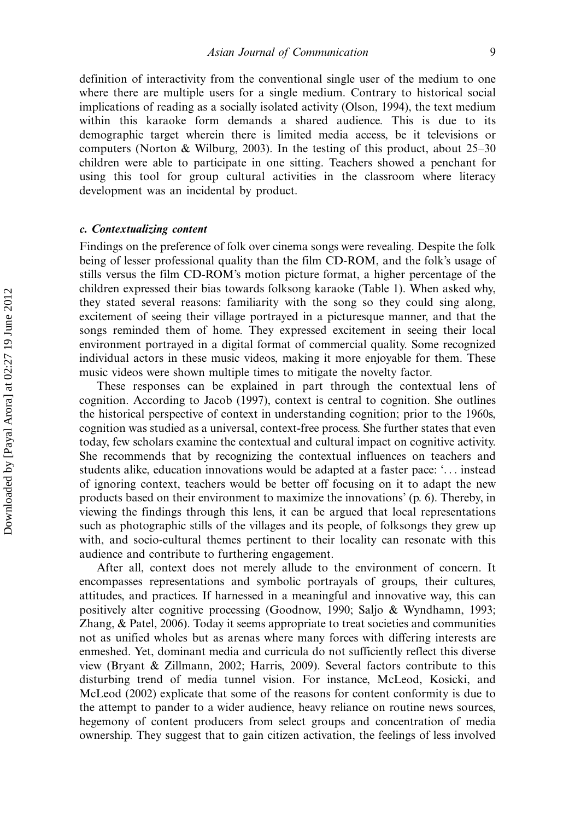definition of interactivity from the conventional single user of the medium to one where there are multiple users for a single medium. Contrary to historical social implications of reading as a socially isolated activity (Olson, 1994), the text medium within this karaoke form demands a shared audience. This is due to its demographic target wherein there is limited media access, be it televisions or computers (Norton & Wilburg, 2003). In the testing of this product, about  $25-30$ children were able to participate in one sitting. Teachers showed a penchant for using this tool for group cultural activities in the classroom where literacy development was an incidental by product.

## c. Contextualizing content

Findings on the preference of folk over cinema songs were revealing. Despite the folk being of lesser professional quality than the film CD-ROM, and the folk's usage of stills versus the film CD-ROM's motion picture format, a higher percentage of the children expressed their bias towards folksong karaoke (Table 1). When asked why, they stated several reasons: familiarity with the song so they could sing along, excitement of seeing their village portrayed in a picturesque manner, and that the songs reminded them of home. They expressed excitement in seeing their local environment portrayed in a digital format of commercial quality. Some recognized individual actors in these music videos, making it more enjoyable for them. These music videos were shown multiple times to mitigate the novelty factor.

These responses can be explained in part through the contextual lens of cognition. According to Jacob (1997), context is central to cognition. She outlines the historical perspective of context in understanding cognition; prior to the 1960s, cognition was studied as a universal, context-free process. She further states that even today, few scholars examine the contextual and cultural impact on cognitive activity. She recommends that by recognizing the contextual influences on teachers and students alike, education innovations would be adapted at a faster pace: '... instead of ignoring context, teachers would be better off focusing on it to adapt the new products based on their environment to maximize the innovations' (p. 6). Thereby, in viewing the findings through this lens, it can be argued that local representations such as photographic stills of the villages and its people, of folksongs they grew up with, and socio-cultural themes pertinent to their locality can resonate with this audience and contribute to furthering engagement.

After all, context does not merely allude to the environment of concern. It encompasses representations and symbolic portrayals of groups, their cultures, attitudes, and practices. If harnessed in a meaningful and innovative way, this can positively alter cognitive processing (Goodnow, 1990; Saljo & Wyndhamn, 1993; Zhang, & Patel, 2006). Today it seems appropriate to treat societies and communities not as unified wholes but as arenas where many forces with differing interests are enmeshed. Yet, dominant media and curricula do not sufficiently reflect this diverse view (Bryant & Zillmann, 2002; Harris, 2009). Several factors contribute to this disturbing trend of media tunnel vision. For instance, McLeod, Kosicki, and McLeod (2002) explicate that some of the reasons for content conformity is due to the attempt to pander to a wider audience, heavy reliance on routine news sources, hegemony of content producers from select groups and concentration of media ownership. They suggest that to gain citizen activation, the feelings of less involved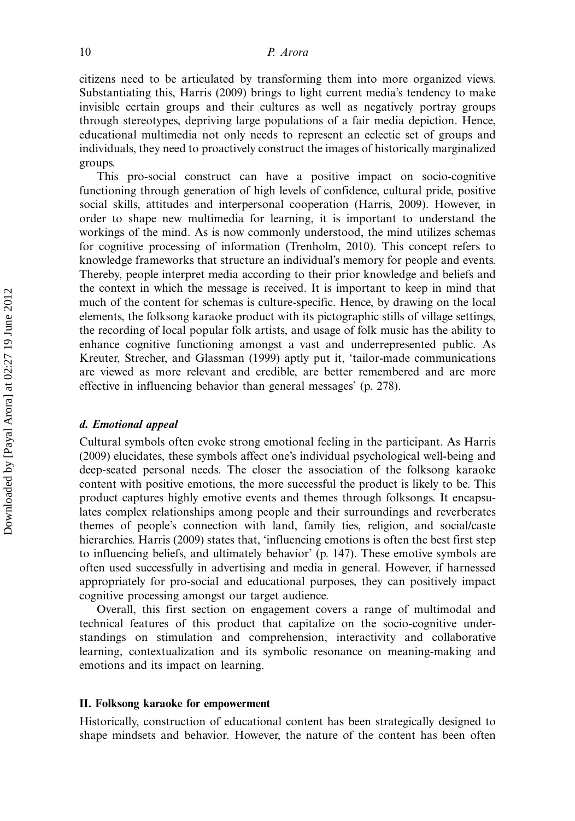citizens need to be articulated by transforming them into more organized views. Substantiating this, Harris (2009) brings to light current media's tendency to make invisible certain groups and their cultures as well as negatively portray groups through stereotypes, depriving large populations of a fair media depiction. Hence, educational multimedia not only needs to represent an eclectic set of groups and individuals, they need to proactively construct the images of historically marginalized groups.

This pro-social construct can have a positive impact on socio-cognitive functioning through generation of high levels of confidence, cultural pride, positive social skills, attitudes and interpersonal cooperation (Harris, 2009). However, in order to shape new multimedia for learning, it is important to understand the workings of the mind. As is now commonly understood, the mind utilizes schemas for cognitive processing of information (Trenholm, 2010). This concept refers to knowledge frameworks that structure an individual's memory for people and events. Thereby, people interpret media according to their prior knowledge and beliefs and the context in which the message is received. It is important to keep in mind that much of the content for schemas is culture-specific. Hence, by drawing on the local elements, the folksong karaoke product with its pictographic stills of village settings, the recording of local popular folk artists, and usage of folk music has the ability to enhance cognitive functioning amongst a vast and underrepresented public. As Kreuter, Strecher, and Glassman (1999) aptly put it, 'tailor-made communications are viewed as more relevant and credible, are better remembered and are more effective in influencing behavior than general messages' (p. 278).

## d. Emotional appeal

Cultural symbols often evoke strong emotional feeling in the participant. As Harris (2009) elucidates, these symbols affect one's individual psychological well-being and deep-seated personal needs. The closer the association of the folksong karaoke content with positive emotions, the more successful the product is likely to be. This product captures highly emotive events and themes through folksongs. It encapsulates complex relationships among people and their surroundings and reverberates themes of people's connection with land, family ties, religion, and social/caste hierarchies. Harris (2009) states that, 'influencing emotions is often the best first step to influencing beliefs, and ultimately behavior' (p. 147). These emotive symbols are often used successfully in advertising and media in general. However, if harnessed appropriately for pro-social and educational purposes, they can positively impact cognitive processing amongst our target audience.

Overall, this first section on engagement covers a range of multimodal and technical features of this product that capitalize on the socio-cognitive understandings on stimulation and comprehension, interactivity and collaborative learning, contextualization and its symbolic resonance on meaning-making and emotions and its impact on learning.

## II. Folksong karaoke for empowerment

Historically, construction of educational content has been strategically designed to shape mindsets and behavior. However, the nature of the content has been often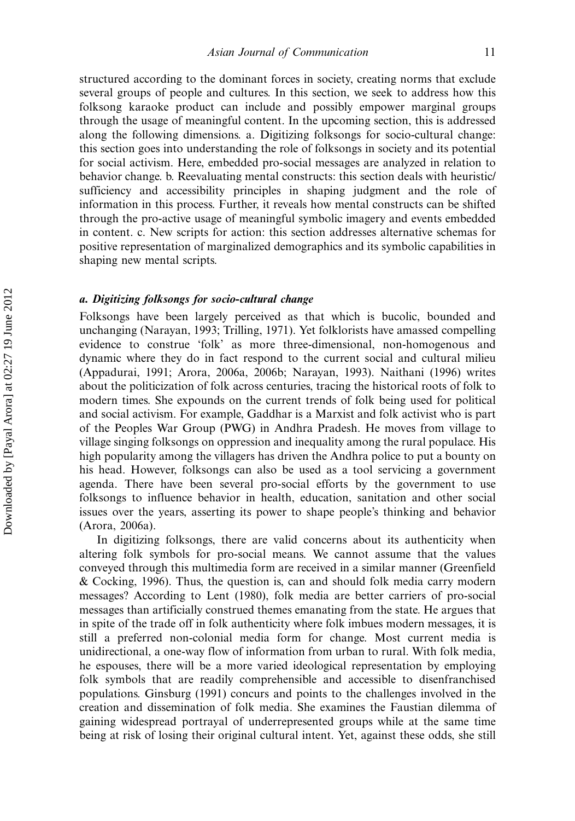structured according to the dominant forces in society, creating norms that exclude several groups of people and cultures. In this section, we seek to address how this folksong karaoke product can include and possibly empower marginal groups through the usage of meaningful content. In the upcoming section, this is addressed along the following dimensions. a. Digitizing folksongs for socio-cultural change: this section goes into understanding the role of folksongs in society and its potential for social activism. Here, embedded pro-social messages are analyzed in relation to behavior change. b. Reevaluating mental constructs: this section deals with heuristic/ sufficiency and accessibility principles in shaping judgment and the role of information in this process. Further, it reveals how mental constructs can be shifted through the pro-active usage of meaningful symbolic imagery and events embedded in content. c. New scripts for action: this section addresses alternative schemas for positive representation of marginalized demographics and its symbolic capabilities in shaping new mental scripts.

## a. Digitizing folksongs for socio-cultural change

Folksongs have been largely perceived as that which is bucolic, bounded and unchanging (Narayan, 1993; Trilling, 1971). Yet folklorists have amassed compelling evidence to construe 'folk' as more three-dimensional, non-homogenous and dynamic where they do in fact respond to the current social and cultural milieu (Appadurai, 1991; Arora, 2006a, 2006b; Narayan, 1993). Naithani (1996) writes about the politicization of folk across centuries, tracing the historical roots of folk to modern times. She expounds on the current trends of folk being used for political and social activism. For example, Gaddhar is a Marxist and folk activist who is part of the Peoples War Group (PWG) in Andhra Pradesh. He moves from village to village singing folksongs on oppression and inequality among the rural populace. His high popularity among the villagers has driven the Andhra police to put a bounty on his head. However, folksongs can also be used as a tool servicing a government agenda. There have been several pro-social efforts by the government to use folksongs to influence behavior in health, education, sanitation and other social issues over the years, asserting its power to shape people's thinking and behavior (Arora, 2006a).

In digitizing folksongs, there are valid concerns about its authenticity when altering folk symbols for pro-social means. We cannot assume that the values conveyed through this multimedia form are received in a similar manner (Greenfield & Cocking, 1996). Thus, the question is, can and should folk media carry modern messages? According to Lent (1980), folk media are better carriers of pro-social messages than artificially construed themes emanating from the state. He argues that in spite of the trade off in folk authenticity where folk imbues modern messages, it is still a preferred non-colonial media form for change. Most current media is unidirectional, a one-way flow of information from urban to rural. With folk media, he espouses, there will be a more varied ideological representation by employing folk symbols that are readily comprehensible and accessible to disenfranchised populations. Ginsburg (1991) concurs and points to the challenges involved in the creation and dissemination of folk media. She examines the Faustian dilemma of gaining widespread portrayal of underrepresented groups while at the same time being at risk of losing their original cultural intent. Yet, against these odds, she still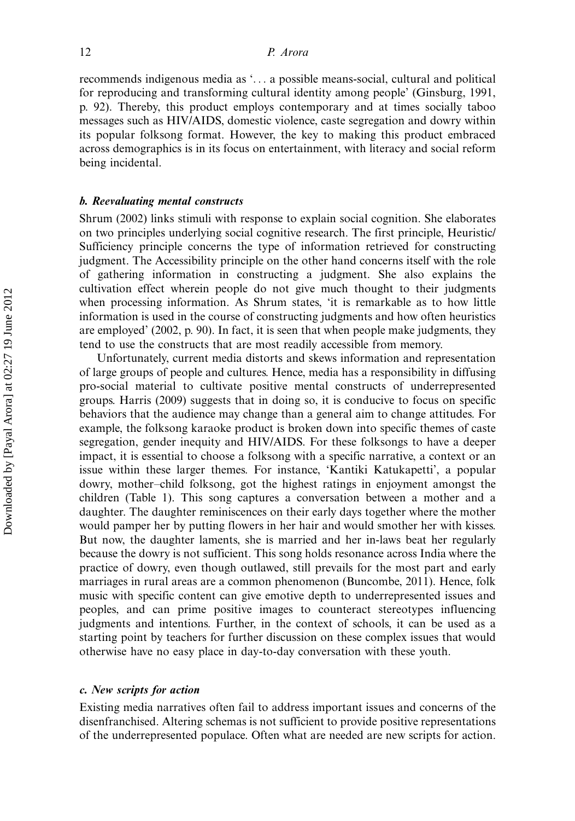recommends indigenous media as '... a possible means-social, cultural and political for reproducing and transforming cultural identity among people' (Ginsburg, 1991, p. 92). Thereby, this product employs contemporary and at times socially taboo messages such as HIV/AIDS, domestic violence, caste segregation and dowry within its popular folksong format. However, the key to making this product embraced across demographics is in its focus on entertainment, with literacy and social reform being incidental.

### b. Reevaluating mental constructs

Shrum (2002) links stimuli with response to explain social cognition. She elaborates on two principles underlying social cognitive research. The first principle, Heuristic/ Sufficiency principle concerns the type of information retrieved for constructing judgment. The Accessibility principle on the other hand concerns itself with the role of gathering information in constructing a judgment. She also explains the cultivation effect wherein people do not give much thought to their judgments when processing information. As Shrum states, 'it is remarkable as to how little information is used in the course of constructing judgments and how often heuristics are employed' (2002, p. 90). In fact, it is seen that when people make judgments, they tend to use the constructs that are most readily accessible from memory.

Unfortunately, current media distorts and skews information and representation of large groups of people and cultures. Hence, media has a responsibility in diffusing pro-social material to cultivate positive mental constructs of underrepresented groups. Harris (2009) suggests that in doing so, it is conducive to focus on specific behaviors that the audience may change than a general aim to change attitudes. For example, the folksong karaoke product is broken down into specific themes of caste segregation, gender inequity and HIV/AIDS. For these folksongs to have a deeper impact, it is essential to choose a folksong with a specific narrative, a context or an issue within these larger themes. For instance, 'Kantiki Katukapetti', a popular dowry, mother-child folksong, got the highest ratings in enjoyment amongst the children (Table 1). This song captures a conversation between a mother and a daughter. The daughter reminiscences on their early days together where the mother would pamper her by putting flowers in her hair and would smother her with kisses. But now, the daughter laments, she is married and her in-laws beat her regularly because the dowry is not sufficient. This song holds resonance across India where the practice of dowry, even though outlawed, still prevails for the most part and early marriages in rural areas are a common phenomenon (Buncombe, 2011). Hence, folk music with specific content can give emotive depth to underrepresented issues and peoples, and can prime positive images to counteract stereotypes influencing judgments and intentions. Further, in the context of schools, it can be used as a starting point by teachers for further discussion on these complex issues that would otherwise have no easy place in day-to-day conversation with these youth.

#### c. New scripts for action

Existing media narratives often fail to address important issues and concerns of the disenfranchised. Altering schemas is not sufficient to provide positive representations of the underrepresented populace. Often what are needed are new scripts for action.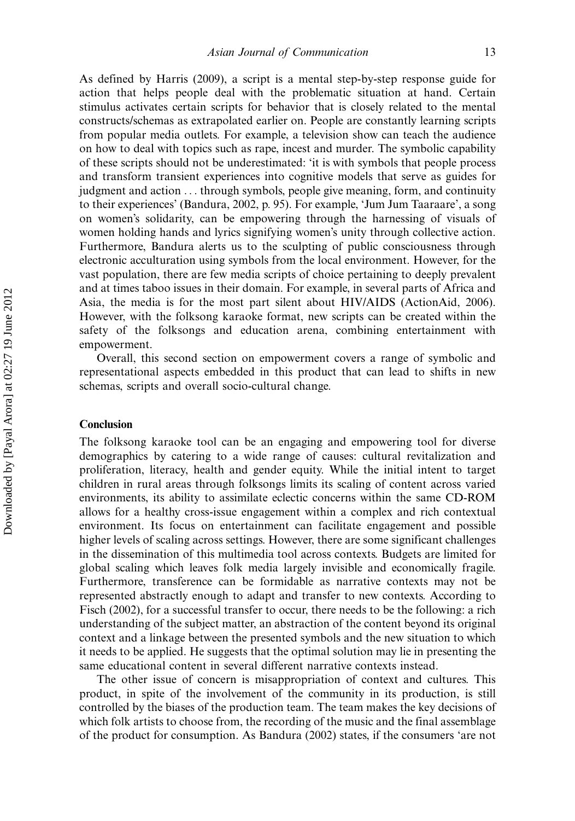As defined by Harris (2009), a script is a mental step-by-step response guide for action that helps people deal with the problematic situation at hand. Certain stimulus activates certain scripts for behavior that is closely related to the mental constructs/schemas as extrapolated earlier on. People are constantly learning scripts from popular media outlets. For example, a television show can teach the audience on how to deal with topics such as rape, incest and murder. The symbolic capability of these scripts should not be underestimated: 'it is with symbols that people process and transform transient experiences into cognitive models that serve as guides for judgment and action ... through symbols, people give meaning, form, and continuity to their experiences' (Bandura, 2002, p. 95). For example, 'Jum Jum Taaraare', a song on women's solidarity, can be empowering through the harnessing of visuals of women holding hands and lyrics signifying women's unity through collective action. Furthermore, Bandura alerts us to the sculpting of public consciousness through electronic acculturation using symbols from the local environment. However, for the vast population, there are few media scripts of choice pertaining to deeply prevalent and at times taboo issues in their domain. For example, in several parts of Africa and Asia, the media is for the most part silent about HIV/AIDS (ActionAid, 2006). However, with the folksong karaoke format, new scripts can be created within the safety of the folksongs and education arena, combining entertainment with empowerment.

Overall, this second section on empowerment covers a range of symbolic and representational aspects embedded in this product that can lead to shifts in new schemas, scripts and overall socio-cultural change.

## Conclusion

The folksong karaoke tool can be an engaging and empowering tool for diverse demographics by catering to a wide range of causes: cultural revitalization and proliferation, literacy, health and gender equity. While the initial intent to target children in rural areas through folksongs limits its scaling of content across varied environments, its ability to assimilate eclectic concerns within the same CD-ROM allows for a healthy cross-issue engagement within a complex and rich contextual environment. Its focus on entertainment can facilitate engagement and possible higher levels of scaling across settings. However, there are some significant challenges in the dissemination of this multimedia tool across contexts. Budgets are limited for global scaling which leaves folk media largely invisible and economically fragile. Furthermore, transference can be formidable as narrative contexts may not be represented abstractly enough to adapt and transfer to new contexts. According to Fisch (2002), for a successful transfer to occur, there needs to be the following: a rich understanding of the subject matter, an abstraction of the content beyond its original context and a linkage between the presented symbols and the new situation to which it needs to be applied. He suggests that the optimal solution may lie in presenting the same educational content in several different narrative contexts instead.

The other issue of concern is misappropriation of context and cultures. This product, in spite of the involvement of the community in its production, is still controlled by the biases of the production team. The team makes the key decisions of which folk artists to choose from, the recording of the music and the final assemblage of the product for consumption. As Bandura (2002) states, if the consumers 'are not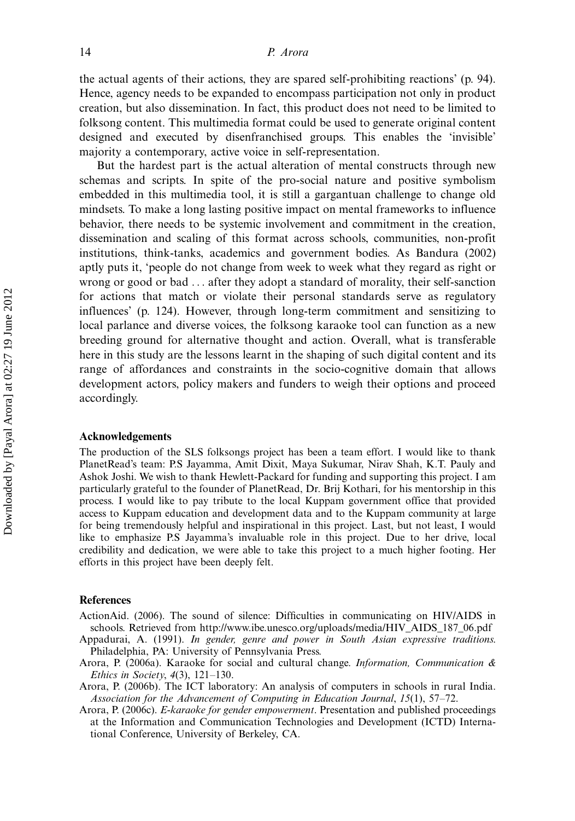the actual agents of their actions, they are spared self-prohibiting reactions' (p. 94). Hence, agency needs to be expanded to encompass participation not only in product creation, but also dissemination. In fact, this product does not need to be limited to folksong content. This multimedia format could be used to generate original content designed and executed by disenfranchised groups. This enables the 'invisible' majority a contemporary, active voice in self-representation.

But the hardest part is the actual alteration of mental constructs through new schemas and scripts. In spite of the pro-social nature and positive symbolism embedded in this multimedia tool, it is still a gargantuan challenge to change old mindsets. To make a long lasting positive impact on mental frameworks to influence behavior, there needs to be systemic involvement and commitment in the creation, dissemination and scaling of this format across schools, communities, non-profit institutions, think-tanks, academics and government bodies. As Bandura (2002) aptly puts it, 'people do not change from week to week what they regard as right or wrong or good or bad ... after they adopt a standard of morality, their self-sanction for actions that match or violate their personal standards serve as regulatory influences' (p. 124). However, through long-term commitment and sensitizing to local parlance and diverse voices, the folksong karaoke tool can function as a new breeding ground for alternative thought and action. Overall, what is transferable here in this study are the lessons learnt in the shaping of such digital content and its range of affordances and constraints in the socio-cognitive domain that allows development actors, policy makers and funders to weigh their options and proceed accordingly.

#### Acknowledgements

The production of the SLS folksongs project has been a team effort. I would like to thank PlanetRead's team: P.S Jayamma, Amit Dixit, Maya Sukumar, Nirav Shah, K.T. Pauly and Ashok Joshi. We wish to thank Hewlett-Packard for funding and supporting this project. I am particularly grateful to the founder of PlanetRead, Dr. Brij Kothari, for his mentorship in this process. I would like to pay tribute to the local Kuppam government office that provided access to Kuppam education and development data and to the Kuppam community at large for being tremendously helpful and inspirational in this project. Last, but not least, I would like to emphasize P.S Jayamma's invaluable role in this project. Due to her drive, local credibility and dedication, we were able to take this project to a much higher footing. Her efforts in this project have been deeply felt.

## References

- ActionAid. (2006). The sound of silence: Difficulties in communicating on HIV/AIDS in schools. Retrieved from [http://www.ibe.unesco.org/uploads/media/HIV\\_AIDS\\_187\\_06.pdf](http://www.ibe.unesco.org/uploads/media/HIV_AIDS_187_06.pdf)
- Appadurai, A. (1991). In gender, genre and power in South Asian expressive traditions. Philadelphia, PA: University of Pennsylvania Press.
- Arora, P. (2006a). Karaoke for social and cultural change. Information, Communication & Ethics in Society,  $4(3)$ ,  $121-130$ .
- Arora, P. (2006b). The ICT laboratory: An analysis of computers in schools in rural India. Association for the Advancement of Computing in Education Journal,  $15(1)$ ,  $57-72$ .
- Arora, P. (2006c). E-karaoke for gender empowerment. Presentation and published proceedings at the Information and Communication Technologies and Development (ICTD) International Conference, University of Berkeley, CA.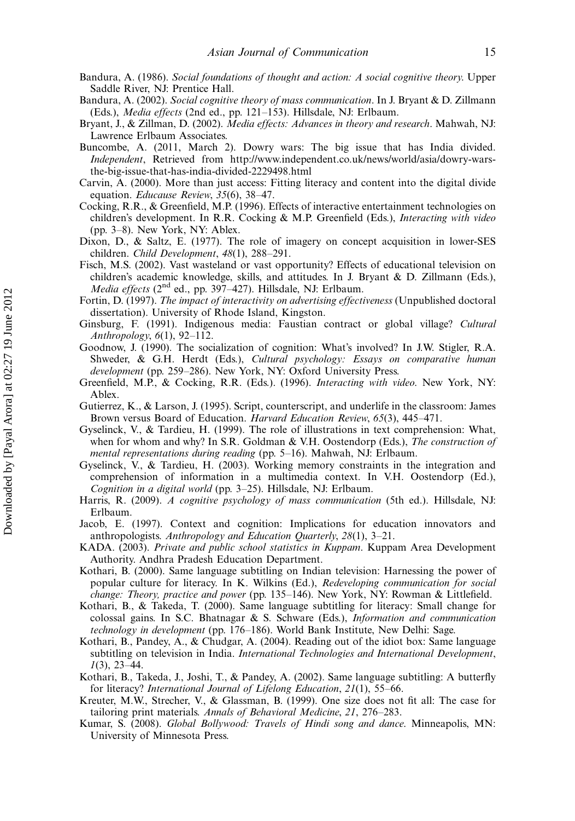- Bandura, A. (1986). Social foundations of thought and action: A social cognitive theory. Upper Saddle River, NJ: Prentice Hall.
- Bandura, A. (2002). Social cognitive theory of mass communication. In J. Bryant & D. Zillmann (Eds.), Media effects (2nd ed., pp. 121-153). Hillsdale, NJ: Erlbaum.
- Bryant, J., & Zillman, D. (2002). Media effects: Advances in theory and research. Mahwah, NJ: Lawrence Erlbaum Associates.
- Buncombe, A. (2011, March 2). Dowry wars: The big issue that has India divided. Independent, Retrieved from [http://www.independent.co.uk/news/world/asia/dowry-wars](http://www.independent.co.uk/news/world/asia/dowry-wars-the-big-issue-that-has-india-divided-2229498.html)[the-big-issue-that-has-india-divided-2229498.html](http://www.independent.co.uk/news/world/asia/dowry-wars-the-big-issue-that-has-india-divided-2229498.html)
- Carvin, A. (2000). More than just access: Fitting literacy and content into the digital divide equation. Educause Review, 35(6), 38-47.
- Cocking, R.R., & Greenfield, M.P. (1996). Effects of interactive entertainment technologies on children's development. In R.R. Cocking & M.P. Greenfield (Eds.), *Interacting with video* (pp.  $3-8$ ). New York, NY: Ablex.
- Dixon, D., & Saltz, E. (1977). The role of imagery on concept acquisition in lower-SES children. Child Development,  $48(1)$ ,  $288-291$ .
- Fisch, M.S. (2002). Vast wasteland or vast opportunity? Effects of educational television on children's academic knowledge, skills, and attitudes. In J. Bryant & D. Zillmann (Eds.), Media effects  $(2^{nd}$  ed., pp. 397-427). Hillsdale, NJ: Erlbaum.
- Fortin, D. (1997). The impact of interactivity on advertising effectiveness (Unpublished doctoral dissertation). University of Rhode Island, Kingston.
- Ginsburg, F. (1991). Indigenous media: Faustian contract or global village? Cultural Anthropology,  $6(1)$ ,  $92-112$ .
- Goodnow, J. (1990). The socialization of cognition: What's involved? In J.W. Stigler, R.A. Shweder, & G.H. Herdt (Eds.), Cultural psychology: Essays on comparative human development (pp. 259–286). New York, NY: Oxford University Press.
- Greenfield, M.P., & Cocking, R.R. (Eds.). (1996). Interacting with video. New York, NY: Ablex.
- Gutierrez, K., & Larson, J. (1995). Script, counterscript, and underlife in the classroom: James Brown versus Board of Education. Harvard Education Review, 65(3), 445–471.
- Gyselinck, V., & Tardieu, H. (1999). The role of illustrations in text comprehension: What, when for whom and why? In S.R. Goldman & V.H. Oostendorp (Eds.), The construction of mental representations during reading (pp. 5-16). Mahwah, NJ: Erlbaum.
- Gyselinck, V., & Tardieu, H. (2003). Working memory constraints in the integration and comprehension of information in a multimedia context. In V.H. Oostendorp (Ed.), Cognition in a digital world (pp. 3–25). Hillsdale, NJ: Erlbaum.
- Harris, R. (2009). A cognitive psychology of mass communication (5th ed.). Hillsdale, NJ: Erlbaum.
- Jacob, E. (1997). Context and cognition: Implications for education innovators and anthropologists. Anthropology and Education Quarterly,  $28(1)$ ,  $3-21$ .
- KADA. (2003). Private and public school statistics in Kuppam. Kuppam Area Development Authority. Andhra Pradesh Education Department.
- Kothari, B. (2000). Same language subtitling on Indian television: Harnessing the power of popular culture for literacy. In K. Wilkins (Ed.), Redeveloping communication for social change: Theory, practice and power (pp. 135–146). New York, NY: Rowman & Littlefield.
- Kothari, B., & Takeda, T. (2000). Same language subtitling for literacy: Small change for colossal gains. In S.C. Bhatnagar & S. Schware (Eds.), Information and communication technology in development (pp. 176-186). World Bank Institute, New Delhi: Sage.
- Kothari, B., Pandey, A., & Chudgar, A. (2004). Reading out of the idiot box: Same language subtitling on television in India. International Technologies and International Development,  $1(3)$ , 23-44.
- Kothari, B., Takeda, J., Joshi, T., & Pandey, A. (2002). Same language subtitling: A butterfly for literacy? International Journal of Lifelong Education, 21(1), 55–66.
- Kreuter, M.W., Strecher, V., & Glassman, B. (1999). One size does not fit all: The case for tailoring print materials. Annals of Behavioral Medicine, 21, 276–283.
- Kumar, S. (2008). Global Bollywood: Travels of Hindi song and dance. Minneapolis, MN: University of Minnesota Press.